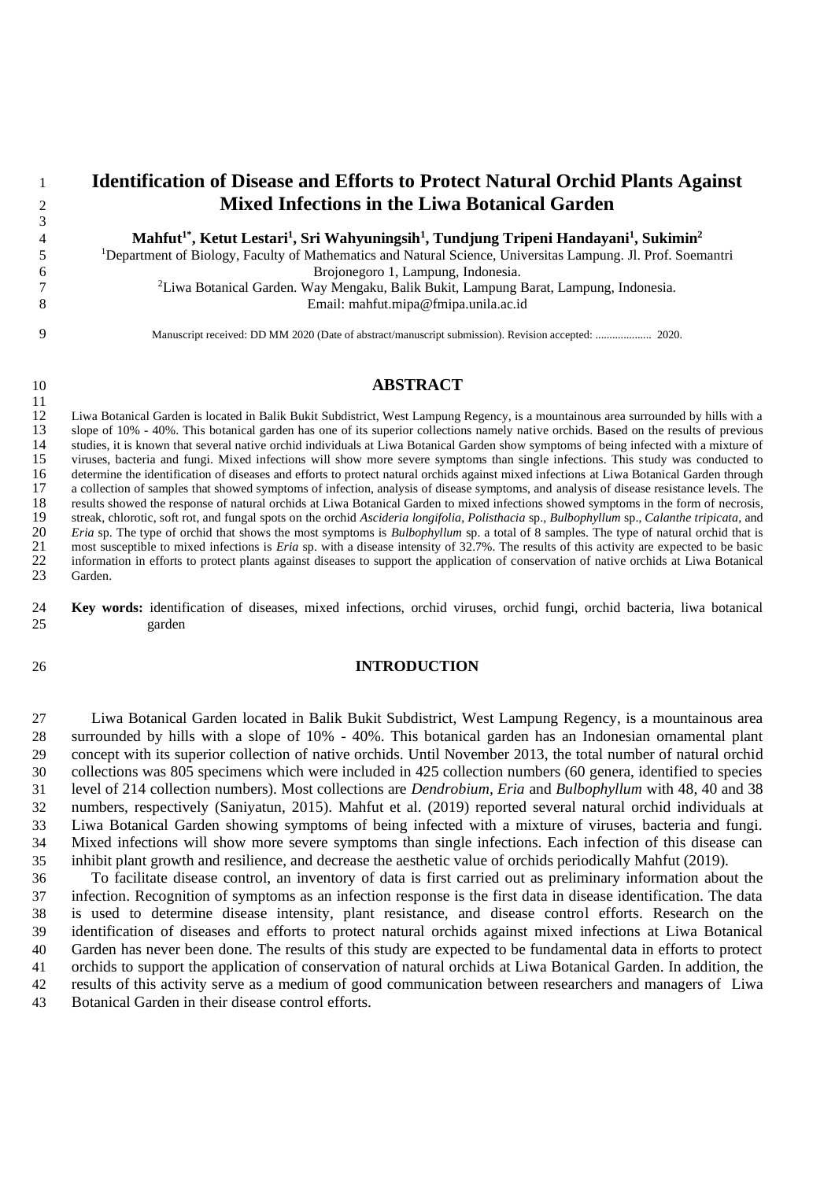# **Identification of Disease and Efforts to Protect Natural Orchid Plants Against Mixed Infections in the Liwa Botanical Garden**

**Mahfut 1\* , Ketut Lestari<sup>1</sup> , Sri Wahyuningsih 1 , Tundjung Tripeni Handayani 1 , Sukimin 2**

Department of Biology, Faculty of Mathematics and Natural Science, Universitas Lampung. Jl. Prof. Soemantri Brojonegoro 1, Lampung, Indonesia.

<sup>2</sup> Liwa Botanical Garden. Way Mengaku, Balik Bukit, Lampung Barat, Lampung, Indonesia. Email: mahfut.mipa@fmipa.unila.ac.id

Manuscript received: DD MM 2020 (Date of abstract/manuscript submission). Revision accepted: .................... 2020.

#### **ABSTRACT**

 Liwa Botanical Garden is located in Balik Bukit Subdistrict, West Lampung Regency, is a mountainous area surrounded by hills with a slope of 10% - 40%. This botanical garden has one of its superior collections namely native orchids. Based on the results of previous studies, it is known that several native orchid individuals at Liwa Botanical Garden show symptoms of being infected with a mixture of 15 viruses, bacteria and fungi. Mixed infections will show more severe symptoms than single infections. This study was conducted to 16 determine the identification of diseases and efforts to protect natural orchids against 16 determine the identification of diseases and efforts to protect natural orchids against mixed infections at Liwa Botanical Garden through a collection of samples that showed symptoms of infection, analysis of disease sy a collection of samples that showed symptoms of infection, analysis of disease symptoms, and analysis of disease resistance levels. The 18 results showed the response of natural orchids at Liwa Botanical Garden to mixed infections showed symptoms in the form of necrosis,<br>19 streak, chlorotic, soft rot, and fungal spots on the orchid Ascideria longifolia, P streak, chlorotic, soft rot, and fungal spots on the orchid *Ascideria longifolia*, *Polisthacia* sp., *Bulbophyllum* sp., *Calanthe tripicata*, and *Eria* sp. The type of orchid that shows the most symptoms is *Bulbophyllum* sp. a total of 8 samples. The type of natural orchid that is most susceptible to mixed infections is *Eria* sp. with a disease intensity of 32 most susceptible to mixed infections is *Eria* sp. with a disease intensity of 32.7%. The results of this activity are expected to be basic information in efforts to protect plants against diseases to support the application of conservation of native orchids at Liwa Botanical Garden.

 **Key words:** identification of diseases, mixed infections, orchid viruses, orchid fungi, orchid bacteria, liwa botanical garden

#### **INTRODUCTION**

 Liwa Botanical Garden located in Balik Bukit Subdistrict, West Lampung Regency, is a mountainous area surrounded by hills with a slope of 10% - 40%. This botanical garden has an Indonesian ornamental plant concept with its superior collection of native orchids. Until November 2013, the total number of natural orchid collections was 805 specimens which were included in 425 collection numbers (60 genera, identified to species level of 214 collection numbers). Most collections are *Dendrobium, Eria* and *Bulbophyllum* with 48, 40 and 38 numbers, respectively (Saniyatun, 2015). Mahfut et al. (2019) reported several natural orchid individuals at Liwa Botanical Garden showing symptoms of being infected with a mixture of viruses, bacteria and fungi. Mixed infections will show more severe symptoms than single infections. Each infection of this disease can inhibit plant growth and resilience, and decrease the aesthetic value of orchids periodically Mahfut (2019).

 To facilitate disease control, an inventory of data is first carried out as preliminary information about the infection. Recognition of symptoms as an infection response is the first data in disease identification. The data is used to determine disease intensity, plant resistance, and disease control efforts. Research on the identification of diseases and efforts to protect natural orchids against mixed infections at Liwa Botanical Garden has never been done. The results of this study are expected to be fundamental data in efforts to protect orchids to support the application of conservation of natural orchids at Liwa Botanical Garden. In addition, the results of this activity serve as a medium of good communication between researchers and managers of Liwa Botanical Garden in their disease control efforts.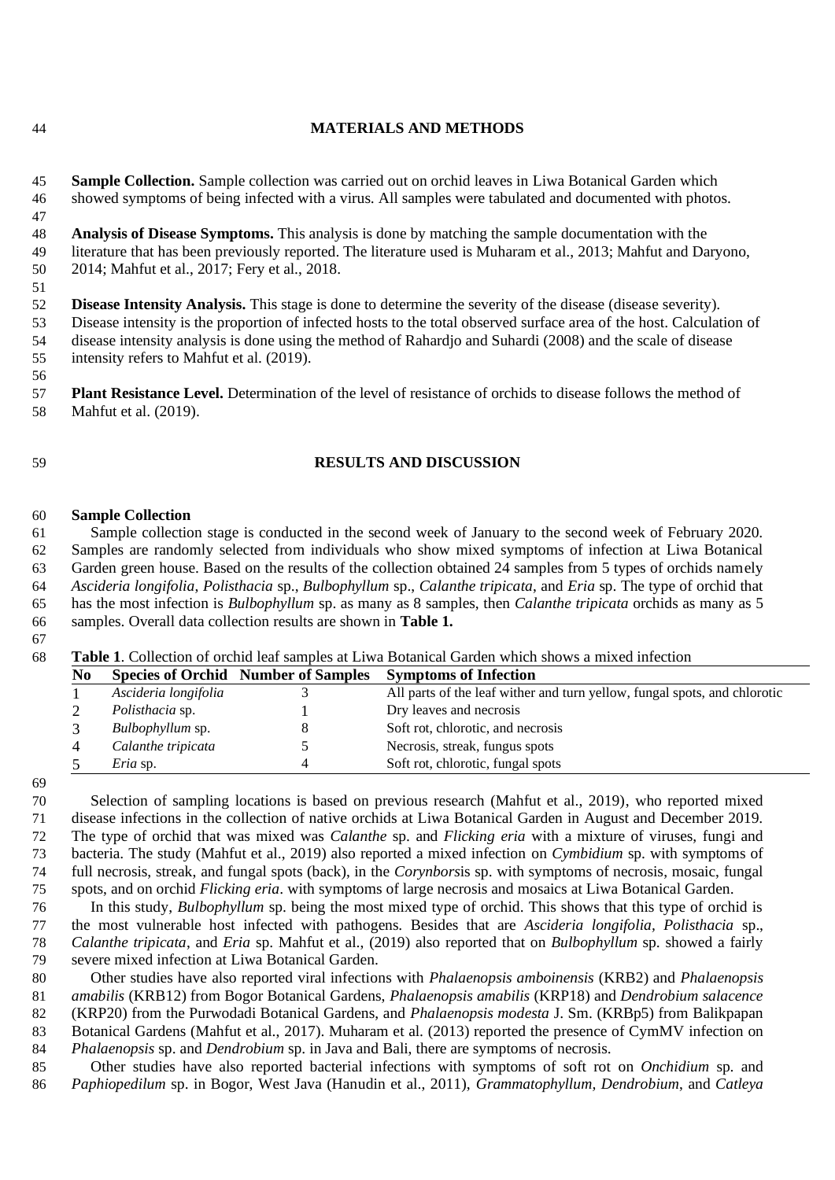## **MATERIALS AND METHODS**

 **Sample Collection.** Sample collection was carried out on orchid leaves in Liwa Botanical Garden which showed symptoms of being infected with a virus. All samples were tabulated and documented with photos.

 **Analysis of Disease Symptoms.** This analysis is done by matching the sample documentation with the literature that has been previously reported. The literature used is Muharam et al., 2013; Mahfut and Daryono, 2014; Mahfut et al., 2017; Fery et al., 2018.

 **Disease Intensity Analysis.** This stage is done to determine the severity of the disease (disease severity). Disease intensity is the proportion of infected hosts to the total observed surface area of the host. Calculation of disease intensity analysis is done using the method of Rahardjo and Suhardi (2008) and the scale of disease intensity refers to Mahfut et al. (2019).

 **Plant Resistance Level.** Determination of the level of resistance of orchids to disease follows the method of Mahfut et al. (2019).

### **RESULTS AND DISCUSSION**

#### **Sample Collection**

 Sample collection stage is conducted in the second week of January to the second week of February 2020. Samples are randomly selected from individuals who show mixed symptoms of infection at Liwa Botanical Garden green house. Based on the results of the collection obtained 24 samples from 5 types of orchids namely *Ascideria longifolia*, *Polisthacia* sp., *Bulbophyllum* sp., *Calanthe tripicata*, and *Eria* sp. The type of orchid that has the most infection is *Bulbophyllum* sp. as many as 8 samples, then *Calanthe tripicata* orchids as many as 5 samples. Overall data collection results are shown in **Table 1.**

#### **Table 1**. Collection of orchid leaf samples at Liwa Botanical Garden which shows a mixed infection

| No |                        | <b>Species of Orchid Number of Samples</b> | <b>Symptoms of Infection</b>                                              |
|----|------------------------|--------------------------------------------|---------------------------------------------------------------------------|
|    | Ascideria longifolia   |                                            | All parts of the leaf wither and turn yellow, fungal spots, and chlorotic |
|    | <i>Polisthacia</i> sp. |                                            | Dry leaves and necrosis                                                   |
|    | Bulbophyllum sp.       |                                            | Soft rot, chlorotic, and necrosis                                         |
|    | Calanthe tripicata     |                                            | Necrosis, streak, fungus spots                                            |
|    | <i>Eria</i> sp.        |                                            | Soft rot, chlorotic, fungal spots                                         |

#### 

 Selection of sampling locations is based on previous research (Mahfut et al., 2019), who reported mixed disease infections in the collection of native orchids at Liwa Botanical Garden in August and December 2019. The type of orchid that was mixed was *Calanthe* sp. and *Flicking eria* with a mixture of viruses, fungi and bacteria. The study (Mahfut et al., 2019) also reported a mixed infection on *Cymbidium* sp. with symptoms of full necrosis, streak, and fungal spots (back), in the *Corynbors*is sp. with symptoms of necrosis, mosaic, fungal spots, and on orchid *Flicking eria*. with symptoms of large necrosis and mosaics at Liwa Botanical Garden.

 In this study, *Bulbophyllum* sp. being the most mixed type of orchid. This shows that this type of orchid is the most vulnerable host infected with pathogens. Besides that are *Ascideria longifolia, Polisthacia* sp., *Calanthe tripicata*, and *Eria* sp. Mahfut et al., (2019) also reported that on *Bulbophyllum* sp. showed a fairly severe mixed infection at Liwa Botanical Garden.

 Other studies have also reported viral infections with *Phalaenopsis amboinensis* (KRB2) and *Phalaenopsis amabilis* (KRB12) from Bogor Botanical Gardens, *Phalaenopsis amabilis* (KRP18) and *Dendrobium salacence* (KRP20) from the Purwodadi Botanical Gardens, and *Phalaenopsis modesta* J. Sm. (KRBp5) from Balikpapan Botanical Gardens (Mahfut et al., 2017). Muharam et al. (2013) reported the presence of CymMV infection on

 *Phalaenopsis* sp. and *Dendrobium* sp. in Java and Bali, there are symptoms of necrosis. Other studies have also reported bacterial infections with symptoms of soft rot on *Onchidium* sp. and

*Paphiopedilum* sp. in Bogor, West Java (Hanudin et al., 2011), *Grammatophyllum, Dendrobium*, and *Catleya*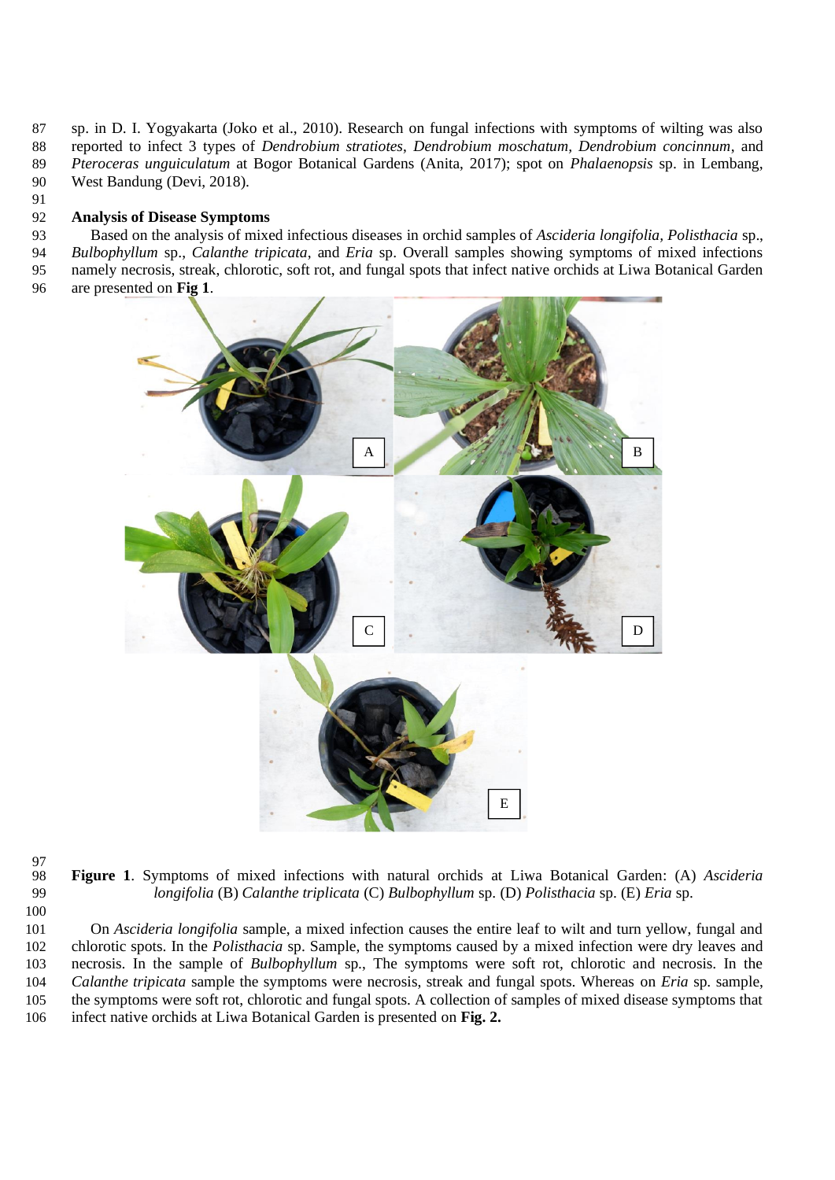sp. in D. I. Yogyakarta (Joko et al., 2010). Research on fungal infections with symptoms of wilting was also reported to infect 3 types of *Dendrobium stratiotes*, *Dendrobium moschatum, Dendrobium concinnum*, and *Pteroceras unguiculatum* at Bogor Botanical Gardens (Anita, 2017); spot on *Phalaenopsis* sp. in Lembang, West Bandung (Devi, 2018).

## **Analysis of Disease Symptoms**

 Based on the analysis of mixed infectious diseases in orchid samples of *Ascideria longifolia, Polisthacia* sp., *Bulbophyllum* sp., *Calanthe tripicata*, and *Eria* sp. Overall samples showing symptoms of mixed infections namely necrosis, streak, chlorotic, soft rot, and fungal spots that infect native orchids at Liwa Botanical Garden are presented on **Fig 1**.



97<br>98

 **Figure 1**. Symptoms of mixed infections with natural orchids at Liwa Botanical Garden: (A) *Ascideria longifolia* (B) *Calanthe triplicata* (C) *Bulbophyllum* sp. (D) *Polisthacia* sp. (E) *Eria* sp.

 On *Ascideria longifolia* sample, a mixed infection causes the entire leaf to wilt and turn yellow, fungal and chlorotic spots. In the *Polisthacia* sp. Sample, the symptoms caused by a mixed infection were dry leaves and necrosis. In the sample of *Bulbophyllum* sp., The symptoms were soft rot, chlorotic and necrosis. In the *Calanthe tripicata* sample the symptoms were necrosis, streak and fungal spots. Whereas on *Eria* sp. sample, the symptoms were soft rot, chlorotic and fungal spots. A collection of samples of mixed disease symptoms that infect native orchids at Liwa Botanical Garden is presented on **Fig. 2.**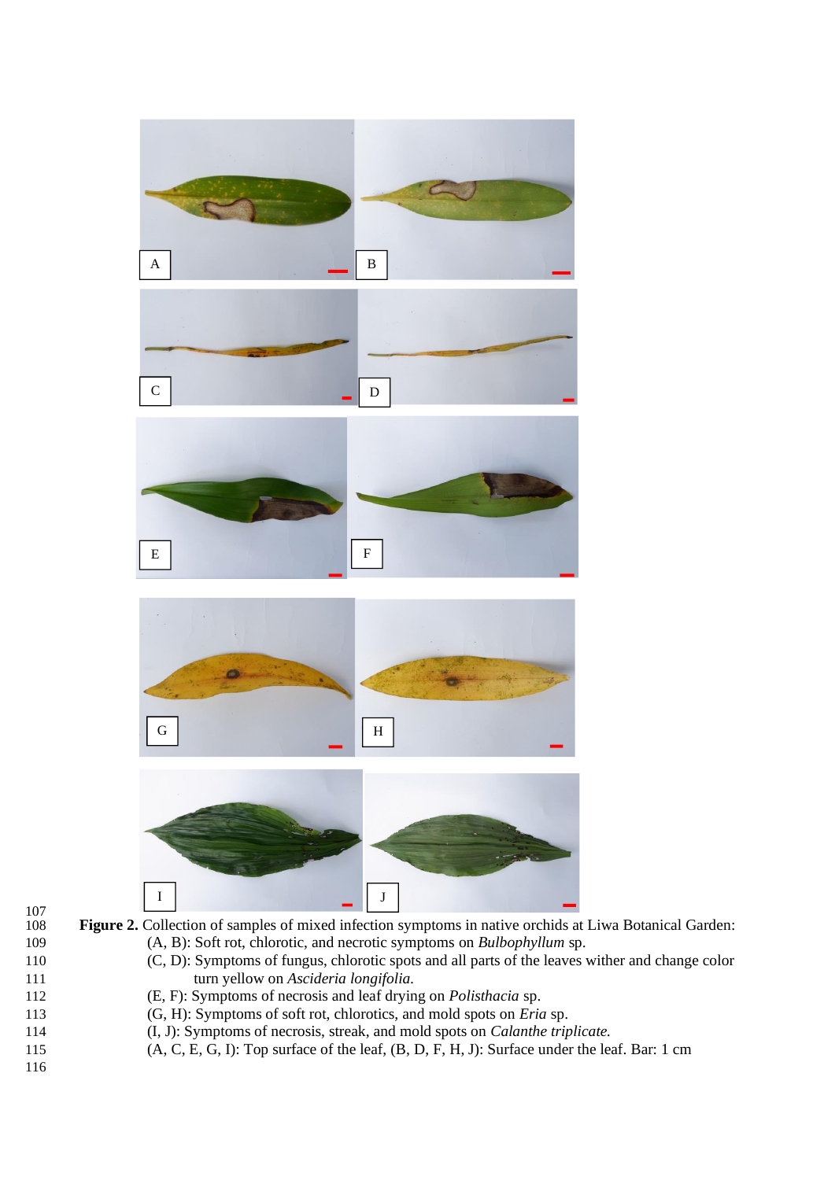

- 111 turn yellow on *Ascideria longifolia.*
- 112 (E, F): Symptoms of necrosis and leaf drying on *Polisthacia* sp.
- 113 (G, H): Symptoms of soft rot, chlorotics, and mold spots on *Eria* sp.
- 114 (I, J): Symptoms of necrosis, streak, and mold spots on *Calanthe triplicate.*
- 115 (A, C, E, G, I): Top surface of the leaf, (B, D, F, H, J): Surface under the leaf. Bar: 1 cm
- 116

 $\frac{107}{108}$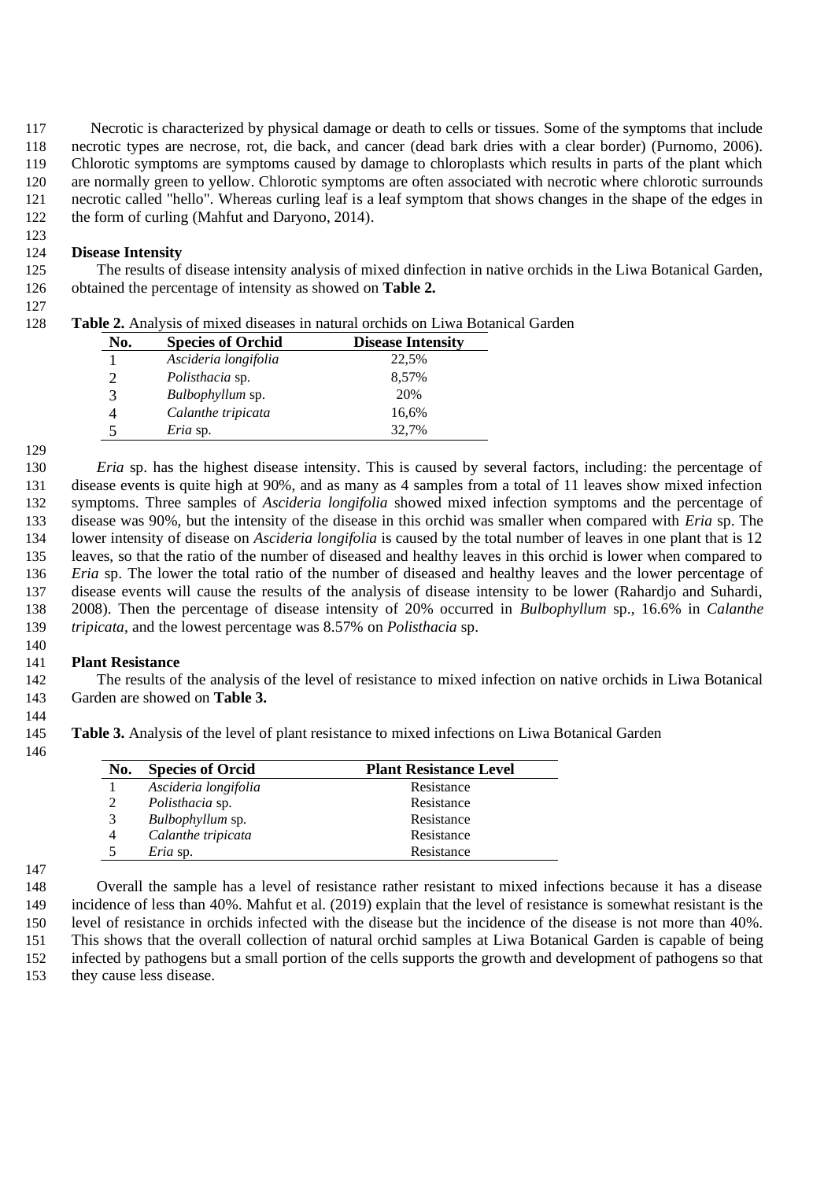Necrotic is characterized by physical damage or death to cells or tissues. Some of the symptoms that include necrotic types are necrose, rot, die back, and cancer (dead bark dries with a clear border) (Purnomo, 2006). Chlorotic symptoms are symptoms caused by damage to chloroplasts which results in parts of the plant which are normally green to yellow. Chlorotic symptoms are often associated with necrotic where chlorotic surrounds necrotic called "hello". Whereas curling leaf is a leaf symptom that shows changes in the shape of the edges in the form of curling (Mahfut and Daryono, 2014).

### **Disease Intensity**

 The results of disease intensity analysis of mixed dinfection in native orchids in the Liwa Botanical Garden, obtained the percentage of intensity as showed on **Table 2.**

| 128 |  |  |  |  |  |  |  |  |  | <b>Table 2.</b> Analysis of mixed diseases in natural orchids on Liwa Botanical Garden |  |
|-----|--|--|--|--|--|--|--|--|--|----------------------------------------------------------------------------------------|--|
|-----|--|--|--|--|--|--|--|--|--|----------------------------------------------------------------------------------------|--|

| No.                   | <b>Species of Orchid</b> | <b>Disease Intensity</b> |
|-----------------------|--------------------------|--------------------------|
|                       | Ascideria longifolia     | 22,5%                    |
| $\mathcal{D}_{\cdot}$ | <i>Polisthacia</i> sp.   | 8,57%                    |
| 3                     | Bulbophyllum sp.         | 20%                      |
|                       | Calanthe tripicata       | 16,6%                    |
| 5                     | <i>Eria</i> sp.          | 32.7%                    |

 *Eria* sp. has the highest disease intensity. This is caused by several factors, including: the percentage of disease events is quite high at 90%, and as many as 4 samples from a total of 11 leaves show mixed infection symptoms. Three samples of *Ascideria longifolia* showed mixed infection symptoms and the percentage of disease was 90%, but the intensity of the disease in this orchid was smaller when compared with *Eria* sp. The lower intensity of disease on *Ascideria longifolia* is caused by the total number of leaves in one plant that is 12 leaves, so that the ratio of the number of diseased and healthy leaves in this orchid is lower when compared to *Eria* sp. The lower the total ratio of the number of diseased and healthy leaves and the lower percentage of disease events will cause the results of the analysis of disease intensity to be lower (Rahardjo and Suhardi, 2008). Then the percentage of disease intensity of 20% occurred in *Bulbophyllum* sp., 16.6% in *Calanthe tripicata*, and the lowest percentage was 8.57% on *Polisthacia* sp.

#### **Plant Resistance**

 The results of the analysis of the level of resistance to mixed infection on native orchids in Liwa Botanical Garden are showed on **Table 3.**

**Table 3.** Analysis of the level of plant resistance to mixed infections on Liwa Botanical Garden

| No. | <b>Species of Orcid</b> | <b>Plant Resistance Level</b> |
|-----|-------------------------|-------------------------------|
|     | Ascideria longifolia    | Resistance                    |
| 2   | <i>Polisthacia</i> sp.  | Resistance                    |
| 3   | <i>Bulbophyllum</i> sp. | Resistance                    |
| 4   | Calanthe tripicata      | Resistance                    |
|     | <i>Eria</i> sp.         | Resistance                    |

 Overall the sample has a level of resistance rather resistant to mixed infections because it has a disease incidence of less than 40%. Mahfut et al. (2019) explain that the level of resistance is somewhat resistant is the level of resistance in orchids infected with the disease but the incidence of the disease is not more than 40%. This shows that the overall collection of natural orchid samples at Liwa Botanical Garden is capable of being infected by pathogens but a small portion of the cells supports the growth and development of pathogens so that

they cause less disease.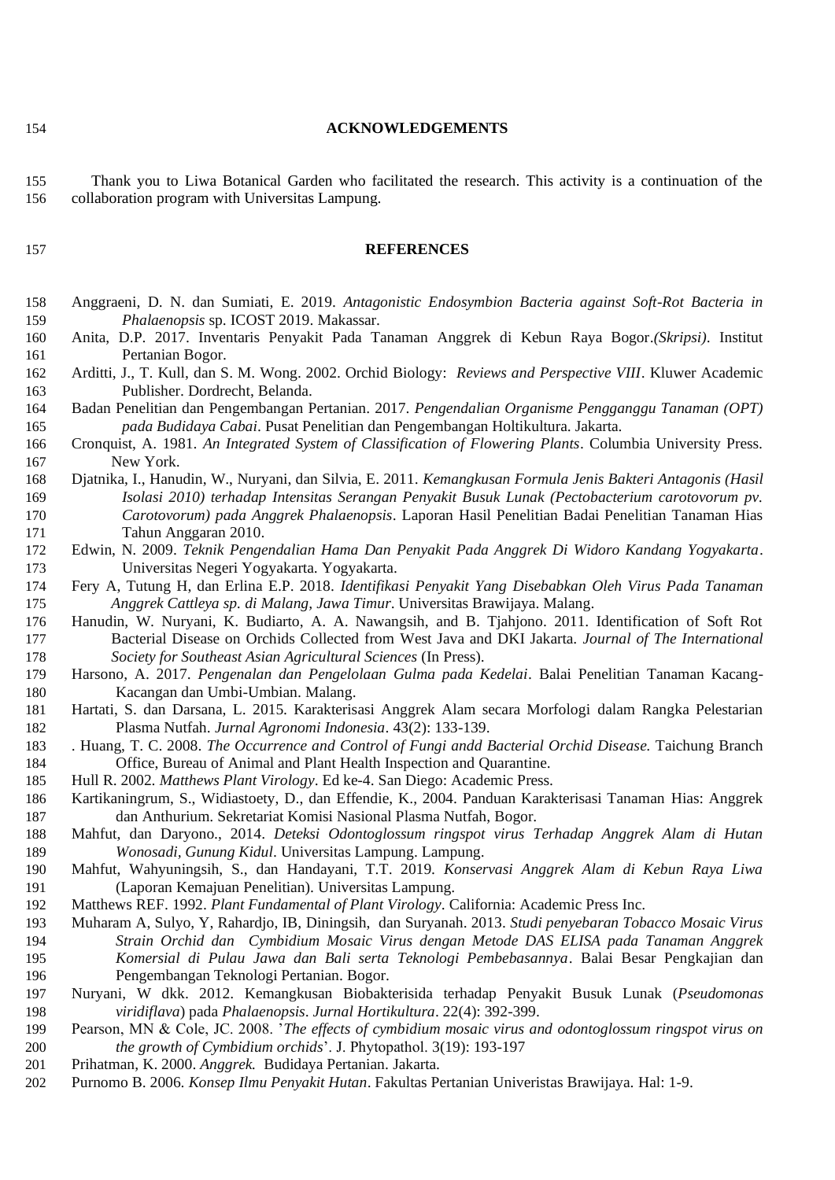**ACKNOWLEDGEMENTS**

 Thank you to Liwa Botanical Garden who facilitated the research. This activity is a continuation of the collaboration program with Universitas Lampung.

#### **REFERENCES**

- Anggraeni, D. N. dan Sumiati, E. 2019. *Antagonistic Endosymbion Bacteria against Soft-Rot Bacteria in Phalaenopsis* sp. ICOST 2019. Makassar.
- Anita, D.P. 2017. Inventaris Penyakit Pada Tanaman Anggrek di Kebun Raya Bogor.*(Skripsi)*. Institut Pertanian Bogor.
- Arditti, J., T. Kull, dan S. M. Wong. 2002. Orchid Biology: *Reviews and Perspective VIII*. Kluwer Academic Publisher. Dordrecht, Belanda.
- Badan Penelitian dan Pengembangan Pertanian. 2017. *Pengendalian Organisme Pengganggu Tanaman (OPT) pada Budidaya Cabai*. Pusat Penelitian dan Pengembangan Holtikultura. Jakarta.
- Cronquist, A. 1981. *An Integrated System of Classification of Flowering Plants*. Columbia University Press. New York.
- Djatnika, I., Hanudin, W., Nuryani, dan Silvia, E. 2011. *Kemangkusan Formula Jenis Bakteri Antagonis (Hasil Isolasi 2010) terhadap Intensitas Serangan Penyakit Busuk Lunak (Pectobacterium carotovorum pv. Carotovorum) pada Anggrek Phalaenopsis*. Laporan Hasil Penelitian Badai Penelitian Tanaman Hias Tahun Anggaran 2010.
- Edwin, N. 2009. *Teknik Pengendalian Hama Dan Penyakit Pada Anggrek Di Widoro Kandang Yogyakarta*. Universitas Negeri Yogyakarta. Yogyakarta.
- Fery A, Tutung H, dan Erlina E.P. 2018. *Identifikasi Penyakit Yang Disebabkan Oleh Virus Pada Tanaman Anggrek Cattleya sp. di Malang, Jawa Timur*. Universitas Brawijaya. Malang.
- Hanudin, W. Nuryani, K. Budiarto, A. A. Nawangsih, and B. Tjahjono. 2011. Identification of Soft Rot Bacterial Disease on Orchids Collected from West Java and DKI Jakarta. *Journal of The International Society for Southeast Asian Agricultural Sciences* (In Press).
- Harsono, A. 2017. *Pengenalan dan Pengelolaan Gulma pada Kedelai*. Balai Penelitian Tanaman Kacang-Kacangan dan Umbi-Umbian. Malang.
- Hartati, S. dan Darsana, L. 2015. Karakterisasi Anggrek Alam secara Morfologi dalam Rangka Pelestarian Plasma Nutfah. *Jurnal Agronomi Indonesia*. 43(2): 133-139.
- . Huang, T. C. 2008. *The Occurrence and Control of Fungi andd Bacterial Orchid Disease.* Taichung Branch Office, Bureau of Animal and Plant Health Inspection and Quarantine.
- Hull R. 2002. *Matthews Plant Virology*. Ed ke-4. San Diego: Academic Press.
- Kartikaningrum, S., Widiastoety, D., dan Effendie, K., 2004. Panduan Karakterisasi Tanaman Hias: Anggrek dan Anthurium. Sekretariat Komisi Nasional Plasma Nutfah, Bogor.
- Mahfut, dan Daryono., 2014. *Deteksi Odontoglossum ringspot virus Terhadap Anggrek Alam di Hutan Wonosadi, Gunung Kidul*. Universitas Lampung. Lampung.
- Mahfut, Wahyuningsih, S., dan Handayani, T.T. 2019. *Konservasi Anggrek Alam di Kebun Raya Liwa* (Laporan Kemajuan Penelitian). Universitas Lampung.
- Matthews REF. 1992. *Plant Fundamental of Plant Virology*. California: Academic Press Inc.
- Muharam A, Sulyo, Y, Rahardjo, IB, Diningsih, dan Suryanah. 2013. *Studi penyebaran Tobacco Mosaic Virus Strain Orchid dan Cymbidium Mosaic Virus dengan Metode DAS ELISA pada Tanaman Anggrek Komersial di Pulau Jawa dan Bali serta Teknologi Pembebasannya*. Balai Besar Pengkajian dan Pengembangan Teknologi Pertanian. Bogor.
- Nuryani, W dkk. 2012. Kemangkusan Biobakterisida terhadap Penyakit Busuk Lunak (*Pseudomonas viridiflava*) pada *Phalaenopsis*. *Jurnal Hortikultura*. 22(4): 392-399.
- Pearson, MN & Cole, JC. 2008. '*The effects of cymbidium mosaic virus and odontoglossum ringspot virus on the growth of Cymbidium orchids*'. J. Phytopathol. 3(19): 193-197
- Prihatman, K. 2000. *Anggrek.* Budidaya Pertanian. Jakarta.
- Purnomo B. 2006. *Konsep Ilmu Penyakit Hutan*. Fakultas Pertanian Univeristas Brawijaya. Hal: 1-9.